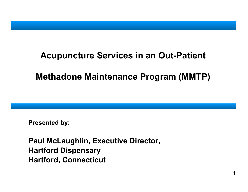### **Acupuncture Services in an Out-Patient**

# **Methadone Maintenance Program (MMTP)**

**1**

**Presented b y**:

**Paul McLaughlin, Executive Director, Hartford Dispensary Hartford, Connecticut**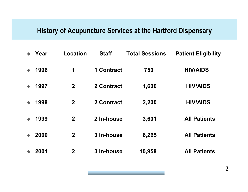#### **History of Acupuncture Services at the Hartford Dispensary**

| Year | <b>Location</b> | <b>Staff</b>      | <b>Total Sessions</b> | <b>Patient Eligibility</b> |
|------|-----------------|-------------------|-----------------------|----------------------------|
| 1996 | 1               | <b>1 Contract</b> | 750                   | <b>HIV/AIDS</b>            |
| 1997 | $\mathbf 2$     | 2 Contract        | 1,600                 | <b>HIV/AIDS</b>            |
| 1998 | $\mathbf 2$     | 2 Contract        | 2,200                 | <b>HIV/AIDS</b>            |
| 1999 | $\mathbf 2$     | 2 In-house        | 3,601                 | <b>All Patients</b>        |
| 2000 | $\mathbf 2$     | 3 In-house        | 6,265                 | <b>All Patients</b>        |
| 2001 | $\mathbf 2$     | 3 In-house        | 10,958                | <b>All Patients</b>        |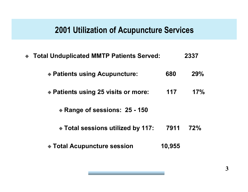#### **2001 Utilization of Acupuncture Services**

- $\bullet$  **Total Unduplicated MMTP Patients Served: 2337**
	- **Patients using Acupuncture: 680 29%**
	- **Patients using 25 visits or more: 117 17%**
		- **Range of sessions: 25 - 150**
		- **Total sessions utilized by 117: 7911 72%**
	- **Total Acupuncture session 10,955**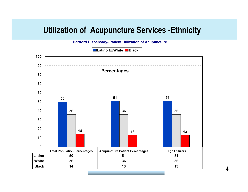### **Utilization of Acupuncture Services - Ethnicity**

**Hartford Dispensary- Patient Utilization of Acupuncture** 

**Latino White Black 10090Percentages807060**<u>\_\_\_\_\_\_\_\_\_\_\_\_\_\_\_\_\_\_\_\_</u> **50 51 51 504036 36 36 302014 13 13 100Total Population Percentages | Acupuncture Patient Percentages | High Utilizers Latino 50 51 51 White 36 36 36 Black14 13 13**

**4**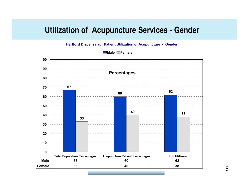#### **Utilization of Acupuncture Services - Gender**

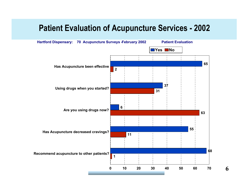# **Patient Evaluation of Acupuncture Services - 2002**

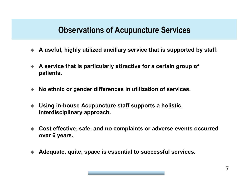# **Observations of Acupuncture Services**

- ◆ A useful, highly utilized ancillary service that is supported by staff.
- $\blacklozenge$ **A** service that is particularly attractive for a certain group of **patients.**
- $\blacklozenge$ ◆ No ethnic or gender differences in utilization of services.
- $\blacklozenge$ ◆ Using in-house Acupuncture staff supports a holistic, **interdisciplinary ap p r oach.**
- $\blacklozenge$ ◆ Cost effective, safe, and no complaints or adverse events occurred **o ver 6 y ear s.**
- ♦ **A deq u ate, q uite, space is essential to su ccessful ser vices.**